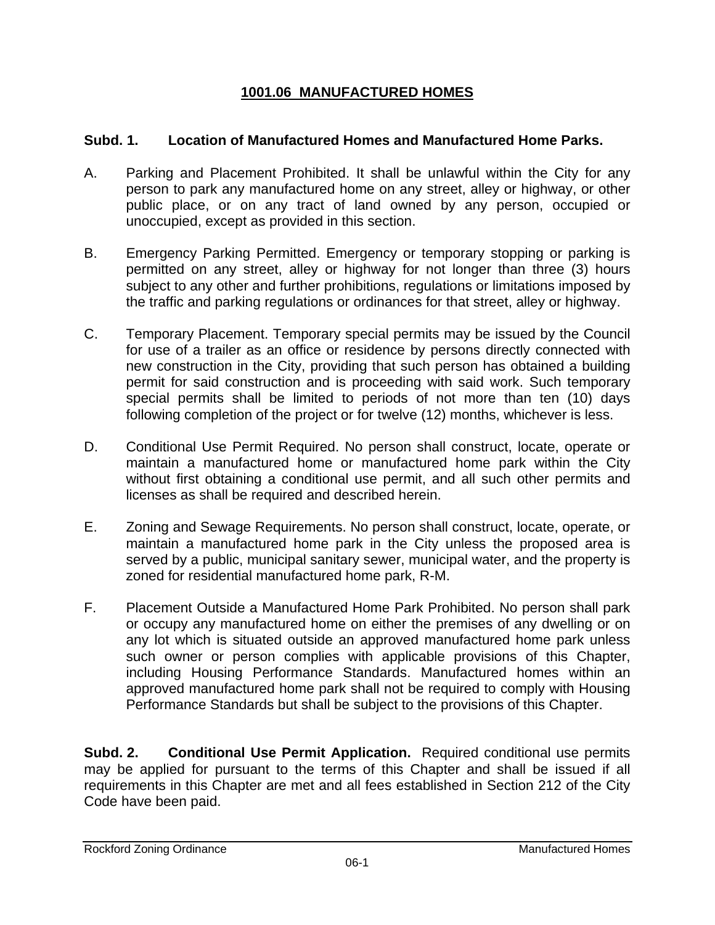# **1001.06 MANUFACTURED HOMES**

# **Subd. 1. Location of Manufactured Homes and Manufactured Home Parks.**

- A. Parking and Placement Prohibited. It shall be unlawful within the City for any person to park any manufactured home on any street, alley or highway, or other public place, or on any tract of land owned by any person, occupied or unoccupied, except as provided in this section.
- B. Emergency Parking Permitted. Emergency or temporary stopping or parking is permitted on any street, alley or highway for not longer than three (3) hours subject to any other and further prohibitions, regulations or limitations imposed by the traffic and parking regulations or ordinances for that street, alley or highway.
- C. Temporary Placement. Temporary special permits may be issued by the Council for use of a trailer as an office or residence by persons directly connected with new construction in the City, providing that such person has obtained a building permit for said construction and is proceeding with said work. Such temporary special permits shall be limited to periods of not more than ten (10) days following completion of the project or for twelve (12) months, whichever is less.
- D. Conditional Use Permit Required. No person shall construct, locate, operate or maintain a manufactured home or manufactured home park within the City without first obtaining a conditional use permit, and all such other permits and licenses as shall be required and described herein.
- E. Zoning and Sewage Requirements. No person shall construct, locate, operate, or maintain a manufactured home park in the City unless the proposed area is served by a public, municipal sanitary sewer, municipal water, and the property is zoned for residential manufactured home park, R-M.
- F. Placement Outside a Manufactured Home Park Prohibited. No person shall park or occupy any manufactured home on either the premises of any dwelling or on any lot which is situated outside an approved manufactured home park unless such owner or person complies with applicable provisions of this Chapter, including Housing Performance Standards. Manufactured homes within an approved manufactured home park shall not be required to comply with Housing Performance Standards but shall be subject to the provisions of this Chapter.

**Subd. 2. Conditional Use Permit Application.** Required conditional use permits may be applied for pursuant to the terms of this Chapter and shall be issued if all requirements in this Chapter are met and all fees established in Section 212 of the City Code have been paid.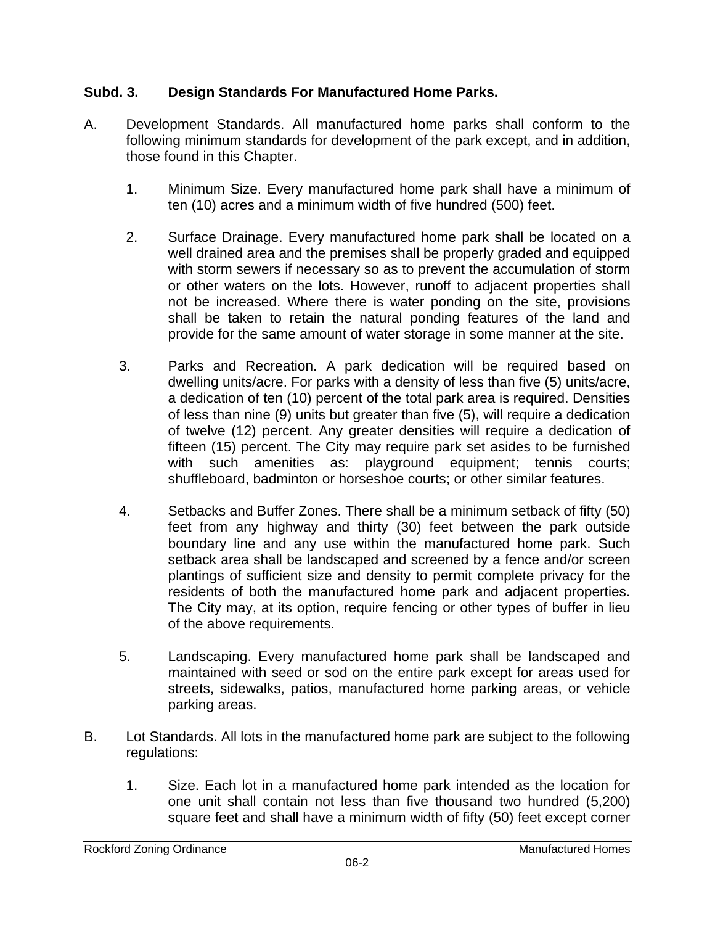# **Subd. 3. Design Standards For Manufactured Home Parks.**

- A. Development Standards. All manufactured home parks shall conform to the following minimum standards for development of the park except, and in addition, those found in this Chapter.
	- 1. Minimum Size. Every manufactured home park shall have a minimum of ten (10) acres and a minimum width of five hundred (500) feet.
	- 2. Surface Drainage. Every manufactured home park shall be located on a well drained area and the premises shall be properly graded and equipped with storm sewers if necessary so as to prevent the accumulation of storm or other waters on the lots. However, runoff to adjacent properties shall not be increased. Where there is water ponding on the site, provisions shall be taken to retain the natural ponding features of the land and provide for the same amount of water storage in some manner at the site.
	- 3. Parks and Recreation. A park dedication will be required based on dwelling units/acre. For parks with a density of less than five (5) units/acre, a dedication of ten (10) percent of the total park area is required. Densities of less than nine (9) units but greater than five (5), will require a dedication of twelve (12) percent. Any greater densities will require a dedication of fifteen (15) percent. The City may require park set asides to be furnished with such amenities as: playaround equipment; tennis courts; playground equipment; tennis courts; shuffleboard, badminton or horseshoe courts; or other similar features.
	- 4. Setbacks and Buffer Zones. There shall be a minimum setback of fifty (50) feet from any highway and thirty (30) feet between the park outside boundary line and any use within the manufactured home park. Such setback area shall be landscaped and screened by a fence and/or screen plantings of sufficient size and density to permit complete privacy for the residents of both the manufactured home park and adjacent properties. The City may, at its option, require fencing or other types of buffer in lieu of the above requirements.
	- 5. Landscaping. Every manufactured home park shall be landscaped and maintained with seed or sod on the entire park except for areas used for streets, sidewalks, patios, manufactured home parking areas, or vehicle parking areas.
- B. Lot Standards. All lots in the manufactured home park are subject to the following regulations:
	- 1. Size. Each lot in a manufactured home park intended as the location for one unit shall contain not less than five thousand two hundred (5,200) square feet and shall have a minimum width of fifty (50) feet except corner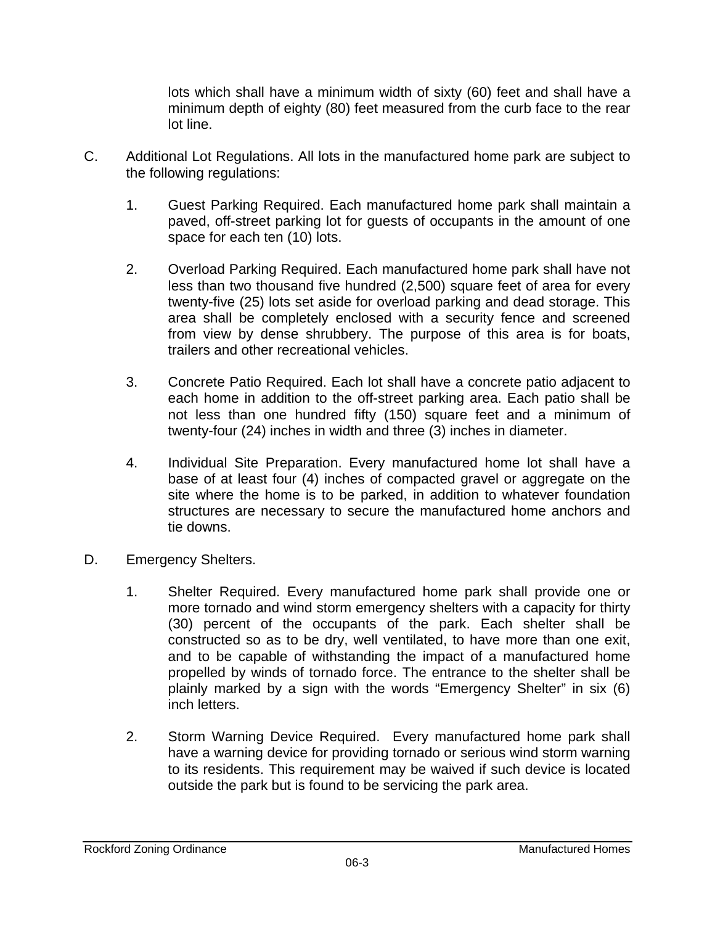lots which shall have a minimum width of sixty (60) feet and shall have a minimum depth of eighty (80) feet measured from the curb face to the rear lot line.

- C. Additional Lot Regulations. All lots in the manufactured home park are subject to the following regulations:
	- 1. Guest Parking Required. Each manufactured home park shall maintain a paved, off-street parking lot for guests of occupants in the amount of one space for each ten (10) lots.
	- 2. Overload Parking Required. Each manufactured home park shall have not less than two thousand five hundred (2,500) square feet of area for every twenty-five (25) lots set aside for overload parking and dead storage. This area shall be completely enclosed with a security fence and screened from view by dense shrubbery. The purpose of this area is for boats, trailers and other recreational vehicles.
	- 3. Concrete Patio Required. Each lot shall have a concrete patio adjacent to each home in addition to the off-street parking area. Each patio shall be not less than one hundred fifty (150) square feet and a minimum of twenty-four (24) inches in width and three (3) inches in diameter.
	- 4. Individual Site Preparation. Every manufactured home lot shall have a base of at least four (4) inches of compacted gravel or aggregate on the site where the home is to be parked, in addition to whatever foundation structures are necessary to secure the manufactured home anchors and tie downs.
- D. Emergency Shelters.
	- 1. Shelter Required. Every manufactured home park shall provide one or more tornado and wind storm emergency shelters with a capacity for thirty (30) percent of the occupants of the park. Each shelter shall be constructed so as to be dry, well ventilated, to have more than one exit, and to be capable of withstanding the impact of a manufactured home propelled by winds of tornado force. The entrance to the shelter shall be plainly marked by a sign with the words "Emergency Shelter" in six (6) inch letters.
	- 2. Storm Warning Device Required. Every manufactured home park shall have a warning device for providing tornado or serious wind storm warning to its residents. This requirement may be waived if such device is located outside the park but is found to be servicing the park area.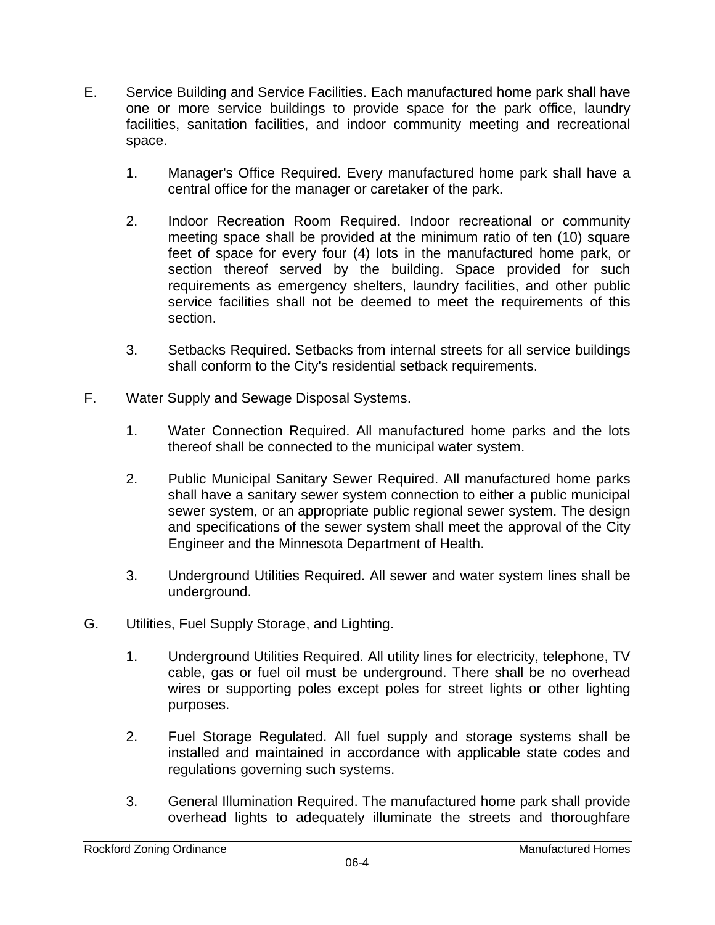- E. Service Building and Service Facilities. Each manufactured home park shall have one or more service buildings to provide space for the park office, laundry facilities, sanitation facilities, and indoor community meeting and recreational space.
	- 1. Manager's Office Required. Every manufactured home park shall have a central office for the manager or caretaker of the park.
	- 2. Indoor Recreation Room Required. Indoor recreational or community meeting space shall be provided at the minimum ratio of ten (10) square feet of space for every four (4) lots in the manufactured home park, or section thereof served by the building. Space provided for such requirements as emergency shelters, laundry facilities, and other public service facilities shall not be deemed to meet the requirements of this section.
	- 3. Setbacks Required. Setbacks from internal streets for all service buildings shall conform to the City's residential setback requirements.
- F. Water Supply and Sewage Disposal Systems.
	- 1. Water Connection Required. All manufactured home parks and the lots thereof shall be connected to the municipal water system.
	- 2. Public Municipal Sanitary Sewer Required. All manufactured home parks shall have a sanitary sewer system connection to either a public municipal sewer system, or an appropriate public regional sewer system. The design and specifications of the sewer system shall meet the approval of the City Engineer and the Minnesota Department of Health.
	- 3. Underground Utilities Required. All sewer and water system lines shall be underground.
- G. Utilities, Fuel Supply Storage, and Lighting.
	- 1. Underground Utilities Required. All utility lines for electricity, telephone, TV cable, gas or fuel oil must be underground. There shall be no overhead wires or supporting poles except poles for street lights or other lighting purposes.
	- 2. Fuel Storage Regulated. All fuel supply and storage systems shall be installed and maintained in accordance with applicable state codes and regulations governing such systems.
	- 3. General Illumination Required. The manufactured home park shall provide overhead lights to adequately illuminate the streets and thoroughfare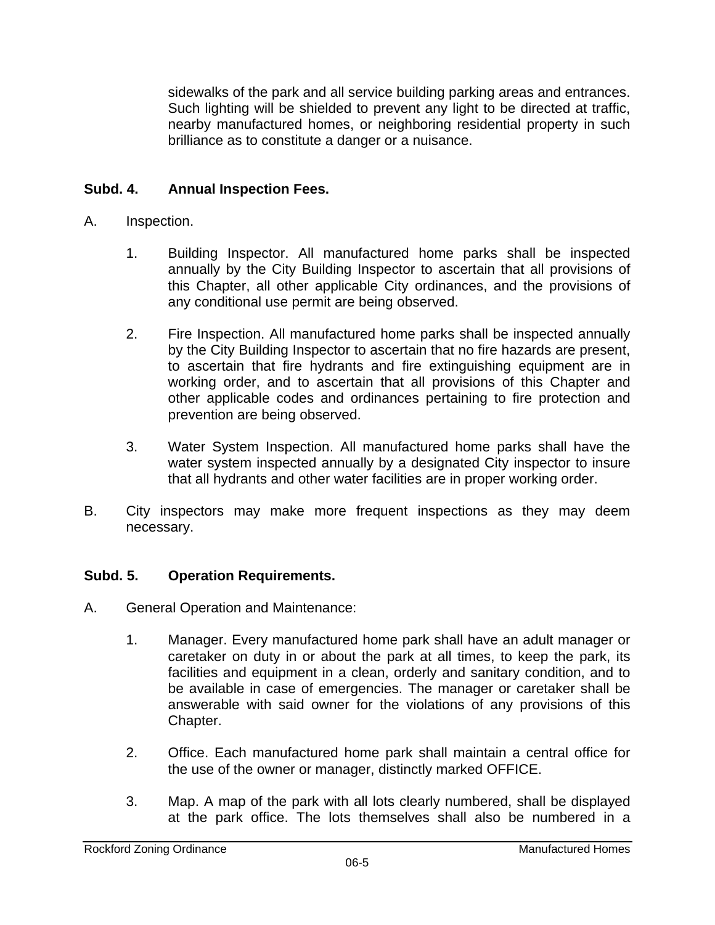sidewalks of the park and all service building parking areas and entrances. Such lighting will be shielded to prevent any light to be directed at traffic, nearby manufactured homes, or neighboring residential property in such brilliance as to constitute a danger or a nuisance.

# **Subd. 4. Annual Inspection Fees.**

#### A. Inspection.

- 1. Building Inspector. All manufactured home parks shall be inspected annually by the City Building Inspector to ascertain that all provisions of this Chapter, all other applicable City ordinances, and the provisions of any conditional use permit are being observed.
- 2. Fire Inspection. All manufactured home parks shall be inspected annually by the City Building Inspector to ascertain that no fire hazards are present, to ascertain that fire hydrants and fire extinguishing equipment are in working order, and to ascertain that all provisions of this Chapter and other applicable codes and ordinances pertaining to fire protection and prevention are being observed.
- 3. Water System Inspection. All manufactured home parks shall have the water system inspected annually by a designated City inspector to insure that all hydrants and other water facilities are in proper working order.
- B. City inspectors may make more frequent inspections as they may deem necessary.

# **Subd. 5. Operation Requirements.**

- A. General Operation and Maintenance:
	- 1. Manager. Every manufactured home park shall have an adult manager or caretaker on duty in or about the park at all times, to keep the park, its facilities and equipment in a clean, orderly and sanitary condition, and to be available in case of emergencies. The manager or caretaker shall be answerable with said owner for the violations of any provisions of this Chapter.
	- 2. Office. Each manufactured home park shall maintain a central office for the use of the owner or manager, distinctly marked OFFICE.
	- 3. Map. A map of the park with all lots clearly numbered, shall be displayed at the park office. The lots themselves shall also be numbered in a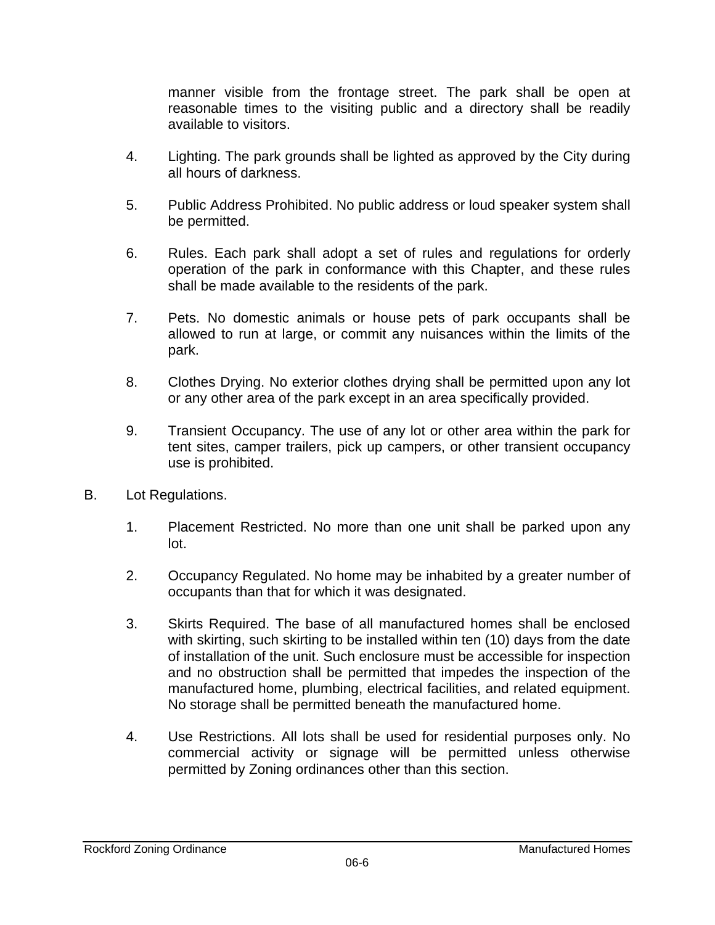manner visible from the frontage street. The park shall be open at reasonable times to the visiting public and a directory shall be readily available to visitors.

- 4. Lighting. The park grounds shall be lighted as approved by the City during all hours of darkness.
- 5. Public Address Prohibited. No public address or loud speaker system shall be permitted.
- 6. Rules. Each park shall adopt a set of rules and regulations for orderly operation of the park in conformance with this Chapter, and these rules shall be made available to the residents of the park.
- 7. Pets. No domestic animals or house pets of park occupants shall be allowed to run at large, or commit any nuisances within the limits of the park.
- 8. Clothes Drying. No exterior clothes drying shall be permitted upon any lot or any other area of the park except in an area specifically provided.
- 9. Transient Occupancy. The use of any lot or other area within the park for tent sites, camper trailers, pick up campers, or other transient occupancy use is prohibited.
- B. Lot Regulations.
	- 1. Placement Restricted. No more than one unit shall be parked upon any lot.
	- 2. Occupancy Regulated. No home may be inhabited by a greater number of occupants than that for which it was designated.
	- 3. Skirts Required. The base of all manufactured homes shall be enclosed with skirting, such skirting to be installed within ten (10) days from the date of installation of the unit. Such enclosure must be accessible for inspection and no obstruction shall be permitted that impedes the inspection of the manufactured home, plumbing, electrical facilities, and related equipment. No storage shall be permitted beneath the manufactured home.
	- 4. Use Restrictions. All lots shall be used for residential purposes only. No commercial activity or signage will be permitted unless otherwise permitted by Zoning ordinances other than this section.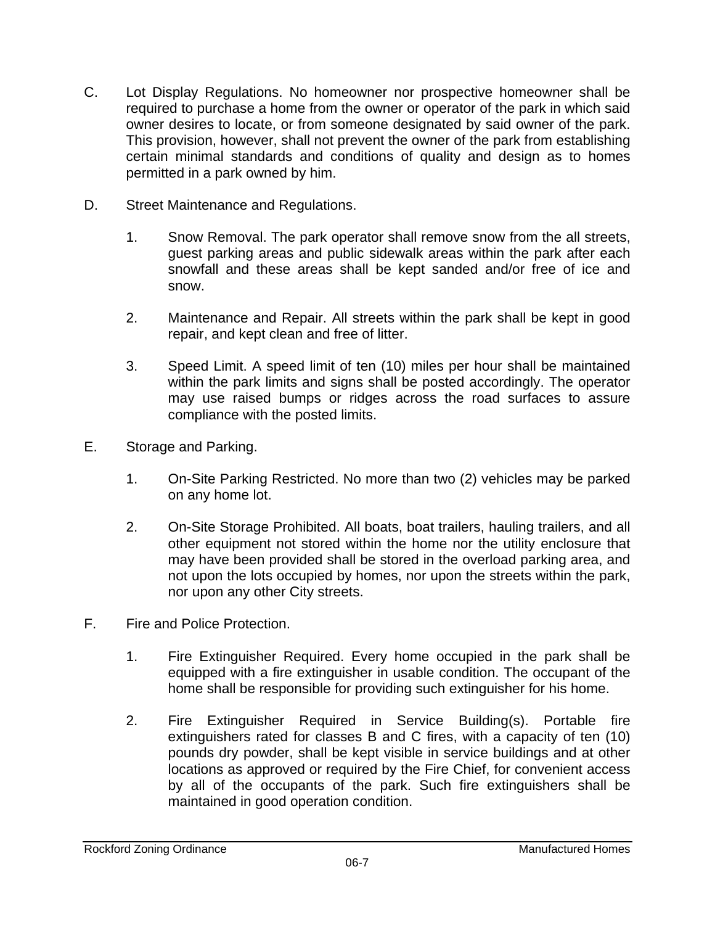- C. Lot Display Regulations. No homeowner nor prospective homeowner shall be required to purchase a home from the owner or operator of the park in which said owner desires to locate, or from someone designated by said owner of the park. This provision, however, shall not prevent the owner of the park from establishing certain minimal standards and conditions of quality and design as to homes permitted in a park owned by him.
- D. Street Maintenance and Regulations.
	- 1. Snow Removal. The park operator shall remove snow from the all streets, guest parking areas and public sidewalk areas within the park after each snowfall and these areas shall be kept sanded and/or free of ice and snow.
	- 2. Maintenance and Repair. All streets within the park shall be kept in good repair, and kept clean and free of litter.
	- 3. Speed Limit. A speed limit of ten (10) miles per hour shall be maintained within the park limits and signs shall be posted accordingly. The operator may use raised bumps or ridges across the road surfaces to assure compliance with the posted limits.
- E. Storage and Parking.
	- 1. On-Site Parking Restricted. No more than two (2) vehicles may be parked on any home lot.
	- 2. On-Site Storage Prohibited. All boats, boat trailers, hauling trailers, and all other equipment not stored within the home nor the utility enclosure that may have been provided shall be stored in the overload parking area, and not upon the lots occupied by homes, nor upon the streets within the park, nor upon any other City streets.
- F. Fire and Police Protection.
	- 1. Fire Extinguisher Required. Every home occupied in the park shall be equipped with a fire extinguisher in usable condition. The occupant of the home shall be responsible for providing such extinguisher for his home.
	- 2. Fire Extinguisher Required in Service Building(s). Portable fire extinguishers rated for classes B and C fires, with a capacity of ten (10) pounds dry powder, shall be kept visible in service buildings and at other locations as approved or required by the Fire Chief, for convenient access by all of the occupants of the park. Such fire extinguishers shall be maintained in good operation condition.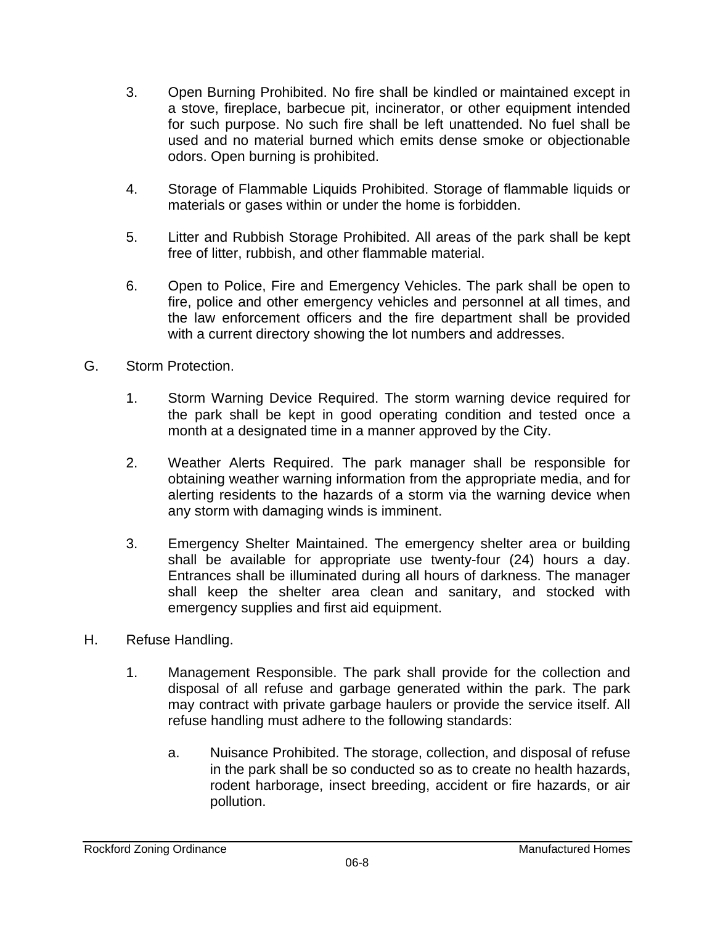- 3. Open Burning Prohibited. No fire shall be kindled or maintained except in a stove, fireplace, barbecue pit, incinerator, or other equipment intended for such purpose. No such fire shall be left unattended. No fuel shall be used and no material burned which emits dense smoke or objectionable odors. Open burning is prohibited.
- 4. Storage of Flammable Liquids Prohibited. Storage of flammable liquids or materials or gases within or under the home is forbidden.
- 5. Litter and Rubbish Storage Prohibited. All areas of the park shall be kept free of litter, rubbish, and other flammable material.
- 6. Open to Police, Fire and Emergency Vehicles. The park shall be open to fire, police and other emergency vehicles and personnel at all times, and the law enforcement officers and the fire department shall be provided with a current directory showing the lot numbers and addresses.
- G. Storm Protection.
	- 1. Storm Warning Device Required. The storm warning device required for the park shall be kept in good operating condition and tested once a month at a designated time in a manner approved by the City.
	- 2. Weather Alerts Required. The park manager shall be responsible for obtaining weather warning information from the appropriate media, and for alerting residents to the hazards of a storm via the warning device when any storm with damaging winds is imminent.
	- 3. Emergency Shelter Maintained. The emergency shelter area or building shall be available for appropriate use twenty-four (24) hours a day. Entrances shall be illuminated during all hours of darkness. The manager shall keep the shelter area clean and sanitary, and stocked with emergency supplies and first aid equipment.
- H. Refuse Handling.
	- 1. Management Responsible. The park shall provide for the collection and disposal of all refuse and garbage generated within the park. The park may contract with private garbage haulers or provide the service itself. All refuse handling must adhere to the following standards:
		- a. Nuisance Prohibited. The storage, collection, and disposal of refuse in the park shall be so conducted so as to create no health hazards, rodent harborage, insect breeding, accident or fire hazards, or air pollution.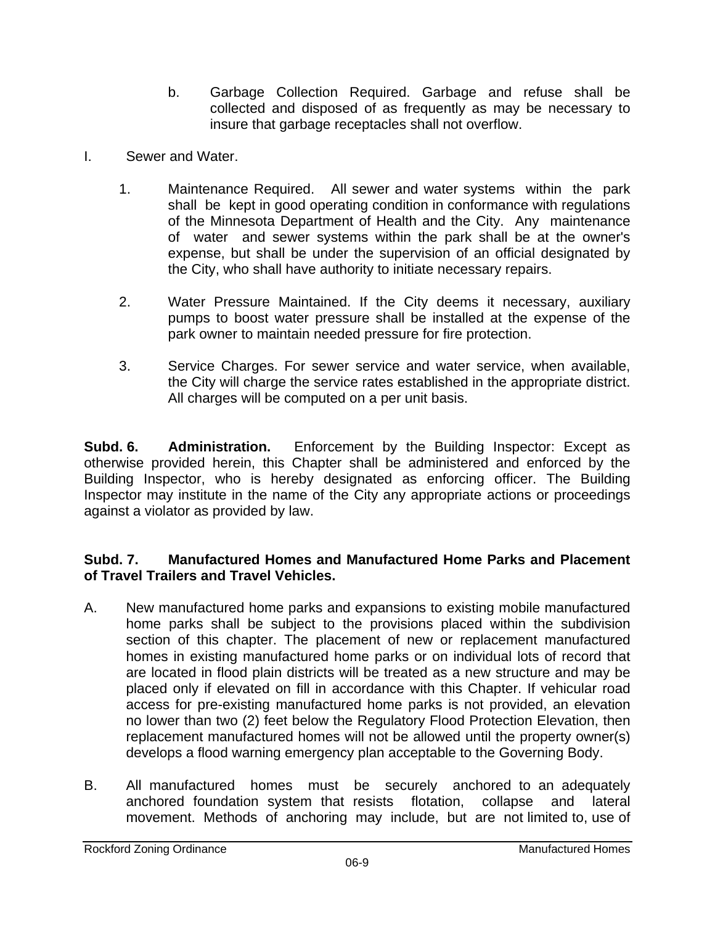- b. Garbage Collection Required. Garbage and refuse shall be collected and disposed of as frequently as may be necessary to insure that garbage receptacles shall not overflow.
- I. Sewer and Water.
	- 1. Maintenance Required. All sewer and water systems within the park shall be kept in good operating condition in conformance with regulations of the Minnesota Department of Health and the City. Any maintenance of water and sewer systems within the park shall be at the owner's expense, but shall be under the supervision of an official designated by the City, who shall have authority to initiate necessary repairs.
	- 2. Water Pressure Maintained. If the City deems it necessary, auxiliary pumps to boost water pressure shall be installed at the expense of the park owner to maintain needed pressure for fire protection.
	- 3. Service Charges. For sewer service and water service, when available, the City will charge the service rates established in the appropriate district. All charges will be computed on a per unit basis.

**Subd. 6.** Administration. Enforcement by the Building Inspector: Except as otherwise provided herein, this Chapter shall be administered and enforced by the Building Inspector, who is hereby designated as enforcing officer. The Building Inspector may institute in the name of the City any appropriate actions or proceedings against a violator as provided by law.

#### **Subd. 7. Manufactured Homes and Manufactured Home Parks and Placement of Travel Trailers and Travel Vehicles.**

- A. New manufactured home parks and expansions to existing mobile manufactured home parks shall be subject to the provisions placed within the subdivision section of this chapter. The placement of new or replacement manufactured homes in existing manufactured home parks or on individual lots of record that are located in flood plain districts will be treated as a new structure and may be placed only if elevated on fill in accordance with this Chapter. If vehicular road access for pre-existing manufactured home parks is not provided, an elevation no lower than two (2) feet below the Regulatory Flood Protection Elevation, then replacement manufactured homes will not be allowed until the property owner(s) develops a flood warning emergency plan acceptable to the Governing Body.
- B. All manufactured homes must be securely anchored to an adequately anchored foundation system that resists flotation, collapse and lateral movement. Methods of anchoring may include, but are not limited to, use of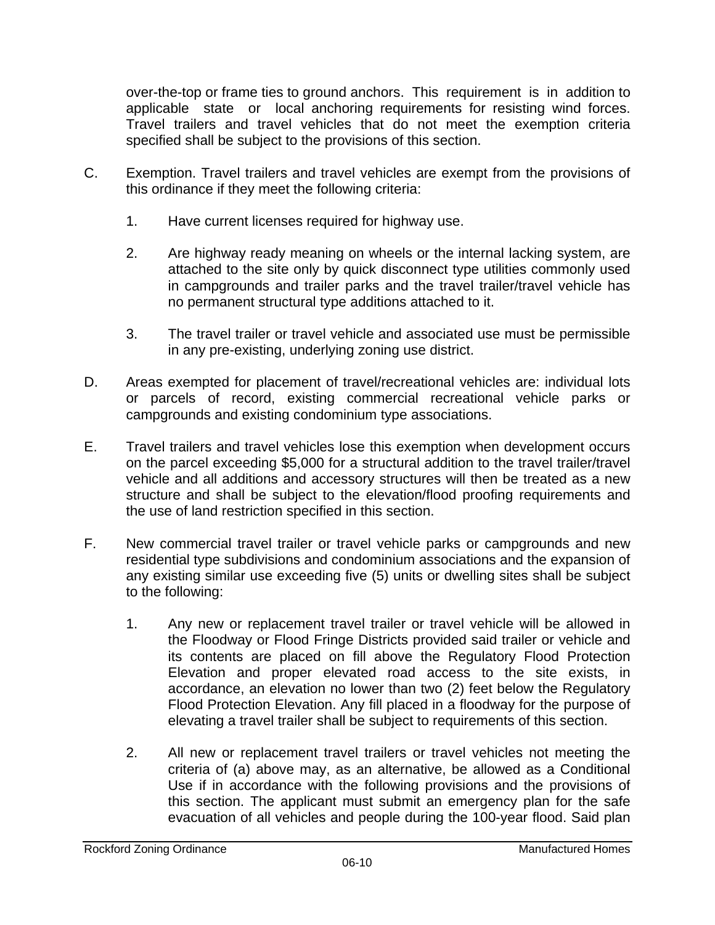over-the-top or frame ties to ground anchors. This requirement is in addition to applicable state or local anchoring requirements for resisting wind forces. Travel trailers and travel vehicles that do not meet the exemption criteria specified shall be subject to the provisions of this section.

- C. Exemption. Travel trailers and travel vehicles are exempt from the provisions of this ordinance if they meet the following criteria:
	- 1. Have current licenses required for highway use.
	- 2. Are highway ready meaning on wheels or the internal lacking system, are attached to the site only by quick disconnect type utilities commonly used in campgrounds and trailer parks and the travel trailer/travel vehicle has no permanent structural type additions attached to it.
	- 3. The travel trailer or travel vehicle and associated use must be permissible in any pre-existing, underlying zoning use district.
- D. Areas exempted for placement of travel/recreational vehicles are: individual lots or parcels of record, existing commercial recreational vehicle parks or campgrounds and existing condominium type associations.
- E. Travel trailers and travel vehicles lose this exemption when development occurs on the parcel exceeding \$5,000 for a structural addition to the travel trailer/travel vehicle and all additions and accessory structures will then be treated as a new structure and shall be subject to the elevation/flood proofing requirements and the use of land restriction specified in this section.
- F. New commercial travel trailer or travel vehicle parks or campgrounds and new residential type subdivisions and condominium associations and the expansion of any existing similar use exceeding five (5) units or dwelling sites shall be subject to the following:
	- 1. Any new or replacement travel trailer or travel vehicle will be allowed in the Floodway or Flood Fringe Districts provided said trailer or vehicle and its contents are placed on fill above the Regulatory Flood Protection Elevation and proper elevated road access to the site exists, in accordance, an elevation no lower than two (2) feet below the Regulatory Flood Protection Elevation. Any fill placed in a floodway for the purpose of elevating a travel trailer shall be subject to requirements of this section.
	- 2. All new or replacement travel trailers or travel vehicles not meeting the criteria of (a) above may, as an alternative, be allowed as a Conditional Use if in accordance with the following provisions and the provisions of this section. The applicant must submit an emergency plan for the safe evacuation of all vehicles and people during the 100-year flood. Said plan